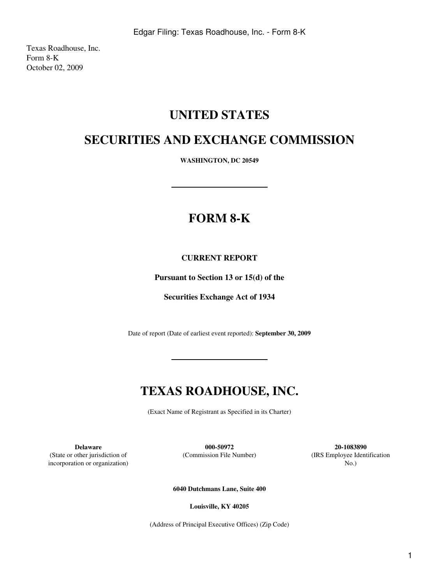Texas Roadhouse, Inc. Form 8-K October 02, 2009

## **UNITED STATES**

## **SECURITIES AND EXCHANGE COMMISSION**

**WASHINGTON, DC 20549**

# **FORM 8-K**

### **CURRENT REPORT**

**Pursuant to Section 13 or 15(d) of the**

**Securities Exchange Act of 1934**

Date of report (Date of earliest event reported): **September 30, 2009**

## **TEXAS ROADHOUSE, INC.**

(Exact Name of Registrant as Specified in its Charter)

(State or other jurisdiction of incorporation or organization)

**Delaware 000-50972 20-1083890**

(Commission File Number) (IRS Employee Identification No.)

**6040 Dutchmans Lane, Suite 400**

**Louisville, KY 40205**

(Address of Principal Executive Offices) (Zip Code)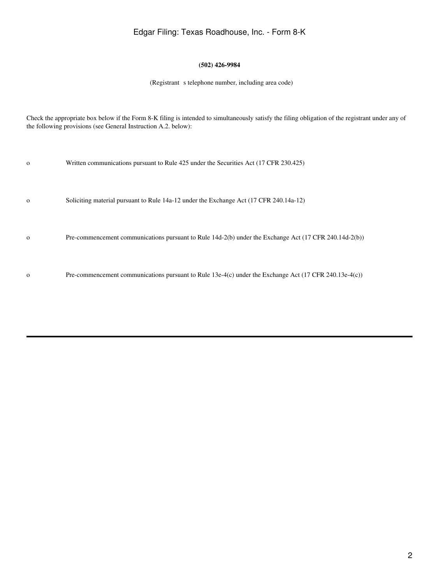## Edgar Filing: Texas Roadhouse, Inc. - Form 8-K

### **(502) 426-9984**

(Registrant s telephone number, including area code)

Check the appropriate box below if the Form 8-K filing is intended to simultaneously satisfy the filing obligation of the registrant under any of the following provisions (see General Instruction A.2. below):

| $\mathbf{o}$ | Written communications pursuant to Rule 425 under the Securities Act (17 CFR 230.425)                  |
|--------------|--------------------------------------------------------------------------------------------------------|
| $\mathbf{o}$ | Soliciting material pursuant to Rule 14a-12 under the Exchange Act (17 CFR 240.14a-12)                 |
| $\Omega$     | Pre-commencement communications pursuant to Rule 14d-2(b) under the Exchange Act (17 CFR 240.14d-2(b)) |
|              |                                                                                                        |

o Pre-commencement communications pursuant to Rule 13e-4(c) under the Exchange Act (17 CFR 240.13e-4(c))